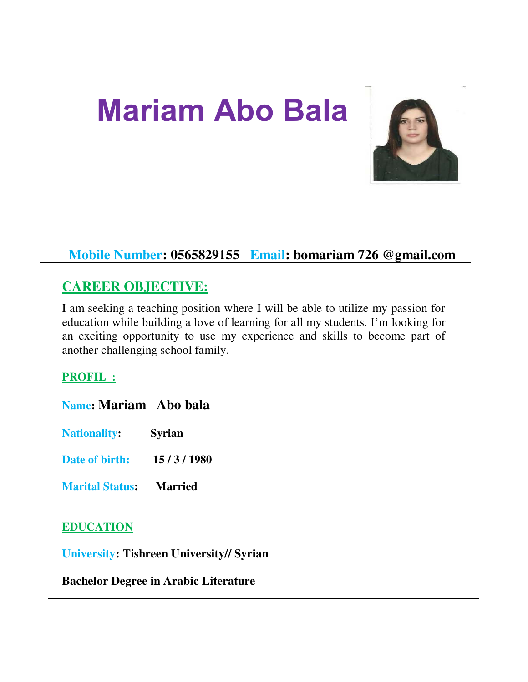# **Mariam Abo Bala**



# **Mobile Number: 0565829155 Email: bomariam 726 @gmail.com**

## **CAREER OBJECTIVE:**

I am seeking a teaching position where I will be able to utilize my passion for education while building a love of learning for all my students. I'm looking for an exciting opportunity to use my experience and skills to become part of another challenging school family.

## **PROFIL :**

| <b>Name: Mariam</b> Abo bala   |               |
|--------------------------------|---------------|
| <b>Nationality:</b>            | <b>Syrian</b> |
| Date of birth:                 | 15/3/1980     |
| <b>Marital Status: Married</b> |               |

#### **EDUCATION**

**University: Tishreen University// Syrian** 

**Bachelor Degree in Arabic Literature**